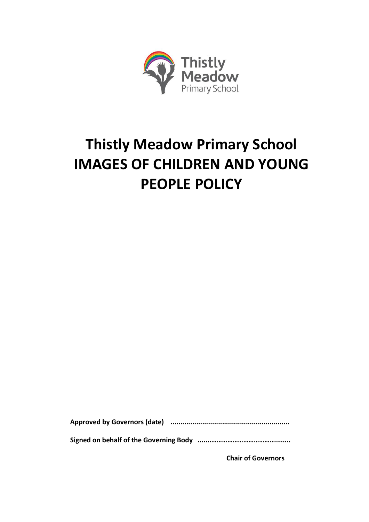

# **Thistly Meadow Primary School IMAGES OF CHILDREN AND YOUNG PEOPLE POLICY**

**Approved by Governors (date) ............................................................**

**Signed on behalf of the Governing Body .......………………………………........**

**Chair of Governors**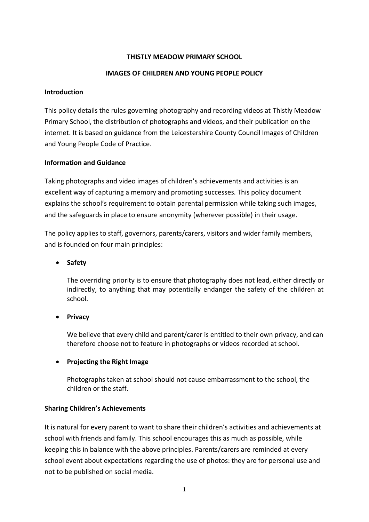## **THISTLY MEADOW PRIMARY SCHOOL**

#### **IMAGES OF CHILDREN AND YOUNG PEOPLE POLICY**

#### **Introduction**

This policy details the rules governing photography and recording videos at Thistly Meadow Primary School, the distribution of photographs and videos, and their publication on the internet. It is based on guidance from the Leicestershire County Council Images of Children and Young People Code of Practice.

#### **Information and Guidance**

Taking photographs and video images of children's achievements and activities is an excellent way of capturing a memory and promoting successes. This policy document explains the school's requirement to obtain parental permission while taking such images, and the safeguards in place to ensure anonymity (wherever possible) in their usage.

The policy applies to staff, governors, parents/carers, visitors and wider family members, and is founded on four main principles:

**Safety**

The overriding priority is to ensure that photography does not lead, either directly or indirectly, to anything that may potentially endanger the safety of the children at school.

**•** Privacy

We believe that every child and parent/carer is entitled to their own privacy, and can therefore choose not to feature in photographs or videos recorded at school.

#### **Projecting the Right Image**

Photographs taken at school should not cause embarrassment to the school, the children or the staff.

#### **Sharing Children's Achievements**

It is natural for every parent to want to share their children's activities and achievements at school with friends and family. This school encourages this as much as possible, while keeping this in balance with the above principles. Parents/carers are reminded at every school event about expectations regarding the use of photos: they are for personal use and not to be published on social media.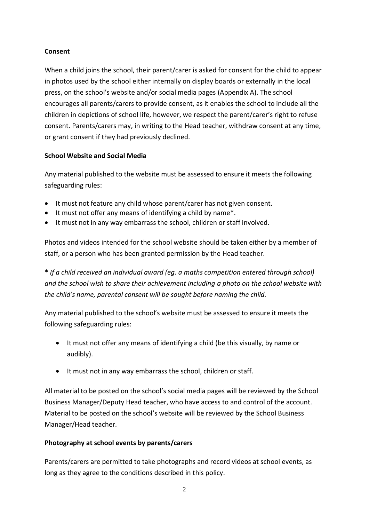## **Consent**

When a child joins the school, their parent/carer is asked for consent for the child to appear in photos used by the school either internally on display boards or externally in the local press, on the school's website and/or social media pages (Appendix A). The school encourages all parents/carers to provide consent, as it enables the school to include all the children in depictions of school life, however, we respect the parent/carer's right to refuse consent. Parents/carers may, in writing to the Head teacher, withdraw consent at any time, or grant consent if they had previously declined.

## **School Website and Social Media**

Any material published to the website must be assessed to ensure it meets the following safeguarding rules:

- It must not feature any child whose parent/carer has not given consent.
- It must not offer any means of identifying a child by name\*.
- It must not in any way embarrass the school, children or staff involved.

Photos and videos intended for the school website should be taken either by a member of staff, or a person who has been granted permission by the Head teacher.

**\*** *If a child received an individual award (eg. a maths competition entered through school) and the school wish to share their achievement including a photo on the school website with the child's name, parental consent will be sought before naming the child.*

Any material published to the school's website must be assessed to ensure it meets the following safeguarding rules:

- It must not offer any means of identifying a child (be this visually, by name or audibly).
- It must not in any way embarrass the school, children or staff.

All material to be posted on the school's social media pages will be reviewed by the School Business Manager/Deputy Head teacher, who have access to and control of the account. Material to be posted on the school's website will be reviewed by the School Business Manager/Head teacher.

# **Photography at school events by parents/carers**

Parents/carers are permitted to take photographs and record videos at school events, as long as they agree to the conditions described in this policy.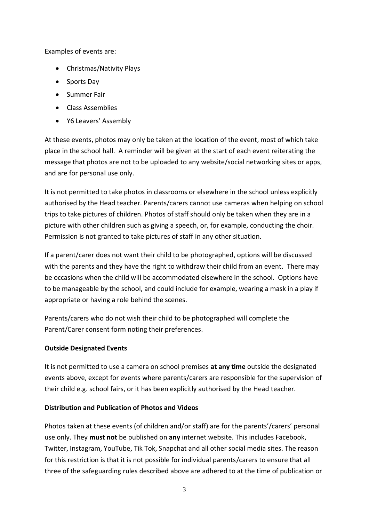Examples of events are:

- Christmas/Nativity Plays
- Sports Day
- Summer Fair
- Class Assemblies
- Y6 Leavers' Assembly

At these events, photos may only be taken at the location of the event, most of which take place in the school hall. A reminder will be given at the start of each event reiterating the message that photos are not to be uploaded to any website/social networking sites or apps, and are for personal use only.

It is not permitted to take photos in classrooms or elsewhere in the school unless explicitly authorised by the Head teacher. Parents/carers cannot use cameras when helping on school trips to take pictures of children. Photos of staff should only be taken when they are in a picture with other children such as giving a speech, or, for example, conducting the choir. Permission is not granted to take pictures of staff in any other situation.

If a parent/carer does not want their child to be photographed, options will be discussed with the parents and they have the right to withdraw their child from an event. There may be occasions when the child will be accommodated elsewhere in the school. Options have to be manageable by the school, and could include for example, wearing a mask in a play if appropriate or having a role behind the scenes.

Parents/carers who do not wish their child to be photographed will complete the Parent/Carer consent form noting their preferences.

# **Outside Designated Events**

It is not permitted to use a camera on school premises **at any time** outside the designated events above, except for events where parents/carers are responsible for the supervision of their child e.g. school fairs, or it has been explicitly authorised by the Head teacher.

# **Distribution and Publication of Photos and Videos**

Photos taken at these events (of children and/or staff) are for the parents'/carers' personal use only. They **must not** be published on **any** internet website. This includes Facebook, Twitter, Instagram, YouTube, Tik Tok, Snapchat and all other social media sites. The reason for this restriction is that it is not possible for individual parents/carers to ensure that all three of the safeguarding rules described above are adhered to at the time of publication or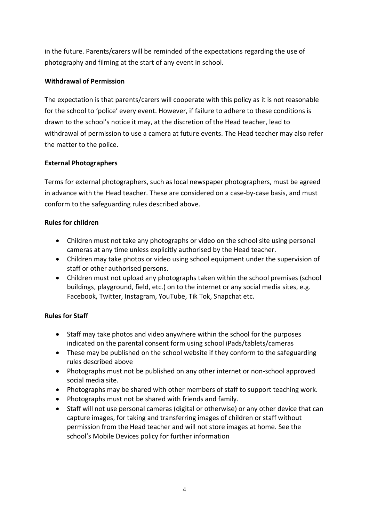in the future. Parents/carers will be reminded of the expectations regarding the use of photography and filming at the start of any event in school.

# **Withdrawal of Permission**

The expectation is that parents/carers will cooperate with this policy as it is not reasonable for the school to 'police' every event. However, if failure to adhere to these conditions is drawn to the school's notice it may, at the discretion of the Head teacher, lead to withdrawal of permission to use a camera at future events. The Head teacher may also refer the matter to the police.

# **External Photographers**

Terms for external photographers, such as local newspaper photographers, must be agreed in advance with the Head teacher. These are considered on a case-by-case basis, and must conform to the safeguarding rules described above.

# **Rules for children**

- Children must not take any photographs or video on the school site using personal cameras at any time unless explicitly authorised by the Head teacher.
- Children may take photos or video using school equipment under the supervision of staff or other authorised persons.
- Children must not upload any photographs taken within the school premises (school buildings, playground, field, etc.) on to the internet or any social media sites, e.g. Facebook, Twitter, Instagram, YouTube, Tik Tok, Snapchat etc.

# **Rules for Staff**

- Staff may take photos and video anywhere within the school for the purposes indicated on the parental consent form using school iPads/tablets/cameras
- These may be published on the school website if they conform to the safeguarding rules described above
- Photographs must not be published on any other internet or non-school approved social media site.
- Photographs may be shared with other members of staff to support teaching work.
- Photographs must not be shared with friends and family.
- Staff will not use personal cameras (digital or otherwise) or any other device that can capture images, for taking and transferring images of children or staff without permission from the Head teacher and will not store images at home. See the school's Mobile Devices policy for further information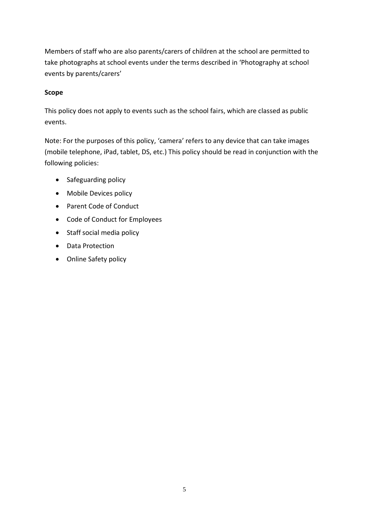Members of staff who are also parents/carers of children at the school are permitted to take photographs at school events under the terms described in 'Photography at school events by parents/carers'

## **Scope**

This policy does not apply to events such as the school fairs, which are classed as public events.

Note: For the purposes of this policy, 'camera' refers to any device that can take images (mobile telephone, iPad, tablet, DS, etc.) This policy should be read in conjunction with the following policies:

- Safeguarding policy
- Mobile Devices policy
- Parent Code of Conduct
- Code of Conduct for Employees
- Staff social media policy
- Data Protection
- Online Safety policy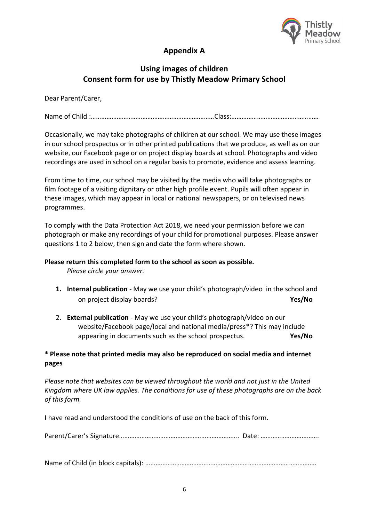

# **Appendix A**

# **Using images of children Consent form for use by Thistly Meadow Primary School**

Dear Parent/Carer,

Name of Child :………………………………………………………………Class:……………………………………………

Occasionally, we may take photographs of children at our school. We may use these images in our school prospectus or in other printed publications that we produce, as well as on our website, our Facebook page or on project display boards at school. Photographs and video recordings are used in school on a regular basis to promote, evidence and assess learning.

From time to time, our school may be visited by the media who will take photographs or film footage of a visiting dignitary or other high profile event. Pupils will often appear in these images, which may appear in local or national newspapers, or on televised news programmes.

To comply with the Data Protection Act 2018, we need your permission before we can photograph or make any recordings of your child for promotional purposes. Please answer questions 1 to 2 below, then sign and date the form where shown.

#### **Please return this completed form to the school as soon as possible.**

*Please circle your answer.*

- **1. Internal publication** May we use your child's photograph/video in the school and on project display boards? **Yes/No**
- 2. **External publication** May we use your child's photograph/video on our website/Facebook page/local and national media/press\*? This may include appearing in documents such as the school prospectus. **Yes/No**

## **\* Please note that printed media may also be reproduced on social media and internet pages**

*Please note that websites can be viewed throughout the world and not just in the United Kingdom where UK law applies. The conditions for use of these photographs are on the back of this form.*

I have read and understood the conditions of use on the back of this form.

Parent/Carer's Signature……………………………………………………………. Date: …………………………….

Name of Child (in block capitals): ……………………………………………………………………………………….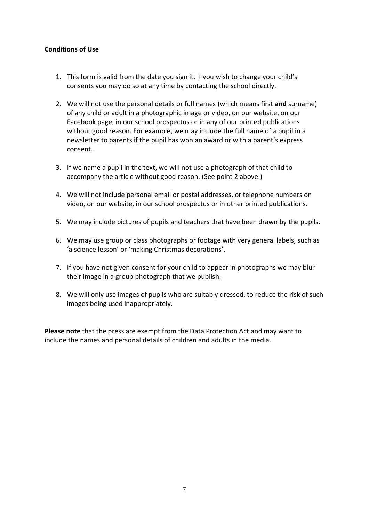## **Conditions of Use**

- 1. This form is valid from the date you sign it. If you wish to change your child's consents you may do so at any time by contacting the school directly.
- 2. We will not use the personal details or full names (which means first **and** surname) of any child or adult in a photographic image or video, on our website, on our Facebook page, in our school prospectus or in any of our printed publications without good reason. For example, we may include the full name of a pupil in a newsletter to parents if the pupil has won an award or with a parent's express consent.
- 3. If we name a pupil in the text, we will not use a photograph of that child to accompany the article without good reason. (See point 2 above.)
- 4. We will not include personal email or postal addresses, or telephone numbers on video, on our website, in our school prospectus or in other printed publications.
- 5. We may include pictures of pupils and teachers that have been drawn by the pupils.
- 6. We may use group or class photographs or footage with very general labels, such as 'a science lesson' or 'making Christmas decorations'.
- 7. If you have not given consent for your child to appear in photographs we may blur their image in a group photograph that we publish.
- 8. We will only use images of pupils who are suitably dressed, to reduce the risk of such images being used inappropriately.

**Please note** that the press are exempt from the Data Protection Act and may want to include the names and personal details of children and adults in the media.